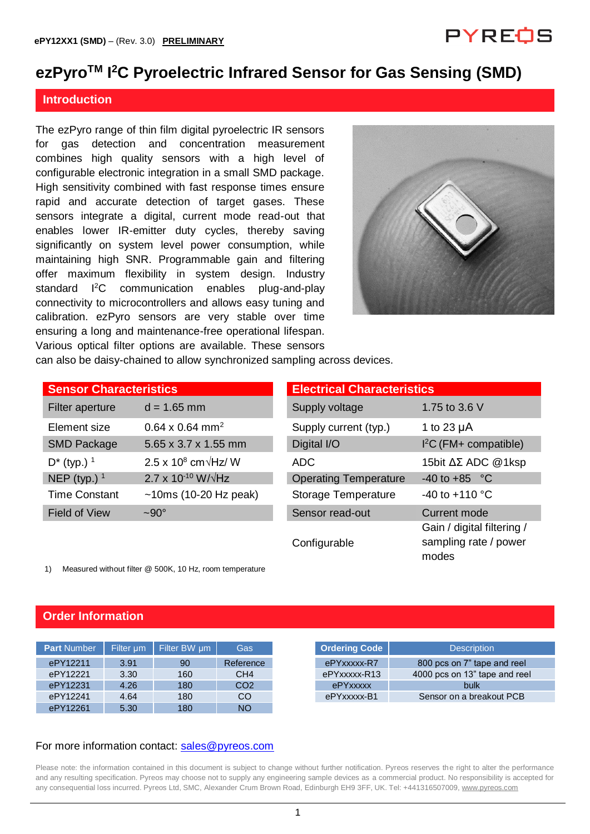## PYREOS

## **ezPyroTM I <sup>2</sup>C Pyroelectric Infrared Sensor for Gas Sensing (SMD)**

#### **Introduction**

The ezPyro range of thin film digital pyroelectric IR sensors for gas detection and concentration measurement combines high quality sensors with a high level of configurable electronic integration in a small SMD package. High sensitivity combined with fast response times ensure rapid and accurate detection of target gases. These sensors integrate a digital, current mode read-out that enables lower IR-emitter duty cycles, thereby saving significantly on system level power consumption, while maintaining high SNR. Programmable gain and filtering offer maximum flexibility in system design. Industry standard <sup>12</sup>C communication enables plug-and-play connectivity to microcontrollers and allows easy tuning and calibration. ezPyro sensors are very stable over time ensuring a long and maintenance-free operational lifespan. Various optical filter options are available. These sensors



can also be daisy-chained to allow synchronized sampling across devices.

| <b>Sensor Characteristics</b> |                                      | <b>Electrical Characteristics</b> |                          |  |  |  |
|-------------------------------|--------------------------------------|-----------------------------------|--------------------------|--|--|--|
| Filter aperture               | $d = 1.65$ mm                        | Supply voltage                    | 1.75 to 3.6 V            |  |  |  |
| Element size                  | $0.64 \times 0.64$ mm <sup>2</sup>   | Supply current (typ.)             | 1 to 23 $\mu$ A          |  |  |  |
| <b>SMD Package</b>            | 5.65 x 3.7 x 1.55 mm                 | Digital I/O                       | $I2C$ (FM+ compatible)   |  |  |  |
| $D^*$ (typ.) <sup>1</sup>     | $2.5 \times 10^8$ cm $\sqrt{Hz}$ / W | ADC                               | 15bit ΔΣ ADC @1ksp       |  |  |  |
| NEP (typ.) $1$                | $2.7 \times 10^{-10}$ W/ $\sqrt{Hz}$ | <b>Operating Temperature</b>      | $-40$ to $+85$ °C        |  |  |  |
| <b>Time Constant</b>          | $~10ms$ (10-20 Hz peak)              | <b>Storage Temperature</b>        | -40 to +110 $^{\circ}$ C |  |  |  |
| <b>Field of View</b>          | $\sim 90^\circ$                      | Sensor read-out                   | <b>Current mode</b>      |  |  |  |

| <b>Electrical Characteristics</b> |                                                              |
|-----------------------------------|--------------------------------------------------------------|
| Supply voltage                    | 1.75 to 3.6 V                                                |
| Supply current (typ.)             | 1 to 23 $\mu$ A                                              |
| Digital I/O                       | $l^2C$ (FM+ compatible)                                      |
| ADC.                              | 15bit $\Delta \Sigma$ ADC @1ksp                              |
| <b>Operating Temperature</b>      | $-40$ to $+85$ °C                                            |
| <b>Storage Temperature</b>        | $-40$ to $+110$ °C                                           |
| Sensor read-out                   | <b>Current mode</b>                                          |
| Configurable                      | Gain / digital filtering /<br>sampling rate / power<br>modes |

1) Measured without filter @ 500K, 10 Hz, room temperature

#### **Order Information**

| <b>Part Number</b> | Filter um | Filter BW um | Gas             |
|--------------------|-----------|--------------|-----------------|
| ePY12211           | 3.91      | 90           | Reference       |
| ePY12221           | 3.30      | 160          | CH <sub>4</sub> |
| ePY12231           | 4.26      | 180          | CO <sub>2</sub> |
| ePY12241           | 4.64      | 180          | CO.             |
| ePY12261           | 5.30      | 180          | <b>NO</b>       |

#### For more information contact: [sales@pyreos.com](mailto:sales@pyreos.com)

Please note: the information contained in this document is subject to change without further notification. Pyreos reserves the right to alter the performance and any resulting specification. Pyreos may choose not to supply any engineering sample devices as a commercial product. No responsibility is accepted for any consequential loss incurred. Pyreos Ltd, SMC, Alexander Crum Brown Road, Edinburgh EH9 3FF, UK. Tel: +441316507009[, www.pyreos.com](http://www.pyreos.com/)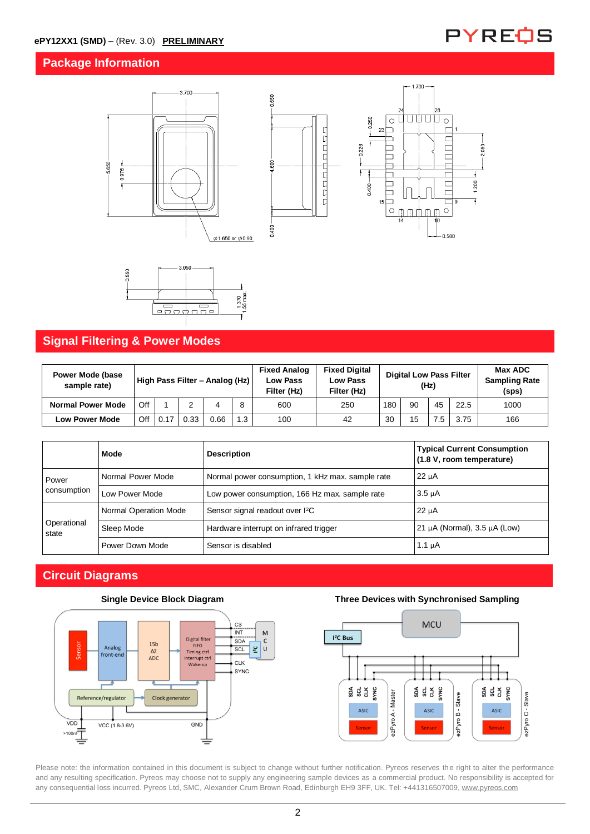### **Package Information**









### **Signal Filtering & Power Modes**

| <b>Power Mode (base)</b><br>sample rate) | High Pass Filter - Analog (Hz) |      |      |      | <b>Fixed Analog</b><br><b>Low Pass</b><br>Filter (Hz) | <b>Fixed Digital</b><br><b>Low Pass</b><br>Filter (Hz) | <b>Digital Low Pass Filter</b><br>(Hz) |     |    | Max ADC<br><b>Sampling Rate</b><br>(sps) |      |      |
|------------------------------------------|--------------------------------|------|------|------|-------------------------------------------------------|--------------------------------------------------------|----------------------------------------|-----|----|------------------------------------------|------|------|
| <b>Normal Power Mode</b>                 | Off                            |      |      |      | 8                                                     | 600                                                    | 250                                    | 180 | 90 | 45                                       | 22.5 | 1000 |
| <b>Low Power Mode</b>                    | Off                            | 0.17 | 0.33 | 0.66 | 1.3                                                   | 100                                                    | 42                                     | 30  | 15 | $\cdot$                                  | 3.75 | 166  |

|                      | Mode                  | <b>Description</b>                               | <b>Typical Current Consumption</b><br>(1.8 V, room temperature) |  |
|----------------------|-----------------------|--------------------------------------------------|-----------------------------------------------------------------|--|
| Power                | Normal Power Mode     | Normal power consumption, 1 kHz max. sample rate | $22 \mu A$                                                      |  |
| consumption          | Low Power Mode        | Low power consumption, 166 Hz max, sample rate   | $3.5 \mu A$                                                     |  |
| Operational<br>state | Normal Operation Mode | Sensor signal readout over I <sup>2</sup> C      | $22 \mu A$                                                      |  |
|                      | Sleep Mode            | Hardware interrupt on infrared trigger           | 21 $\mu$ A (Normal), 3.5 $\mu$ A (Low)                          |  |
|                      | Power Down Mode       | Sensor is disabled                               | 1.1 $\mu$ A                                                     |  |

### **Circuit Diagrams**





#### **Single Device Block Diagram Three Devices with Synchronised Sampling**



Please note: the information contained in this document is subject to change without further notification. Pyreos reserves the right to alter the performance and any resulting specification. Pyreos may choose not to supply any engineering sample devices as a commercial product. No responsibility is accepted for any consequential loss incurred. Pyreos Ltd, SMC, Alexander Crum Brown Road, Edinburgh EH9 3FF, UK. Tel: +441316507009[, www.pyreos.com](http://www.pyreos.com/)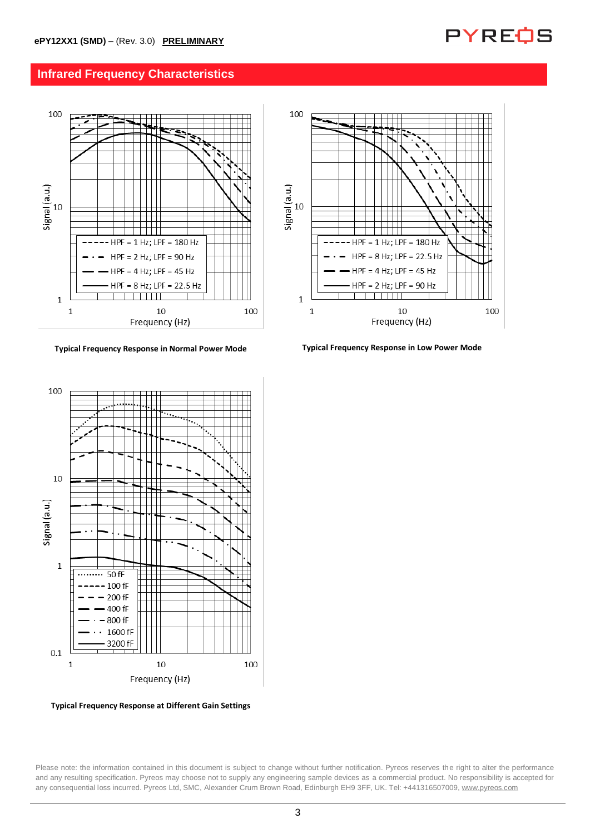

### **Infrared Frequency Characteristics**



**Typical Frequency Response in Normal Power Mode Typical Frequency Response in Low Power Mode**



**Typical Frequency Response at Different Gain Settings**

Please note: the information contained in this document is subject to change without further notification. Pyreos reserves the right to alter the performance and any resulting specification. Pyreos may choose not to supply any engineering sample devices as a commercial product. No responsibility is accepted for any consequential loss incurred. Pyreos Ltd, SMC, Alexander Crum Brown Road, Edinburgh EH9 3FF, UK. Tel: +441316507009[, www.pyreos.com](http://www.pyreos.com/)